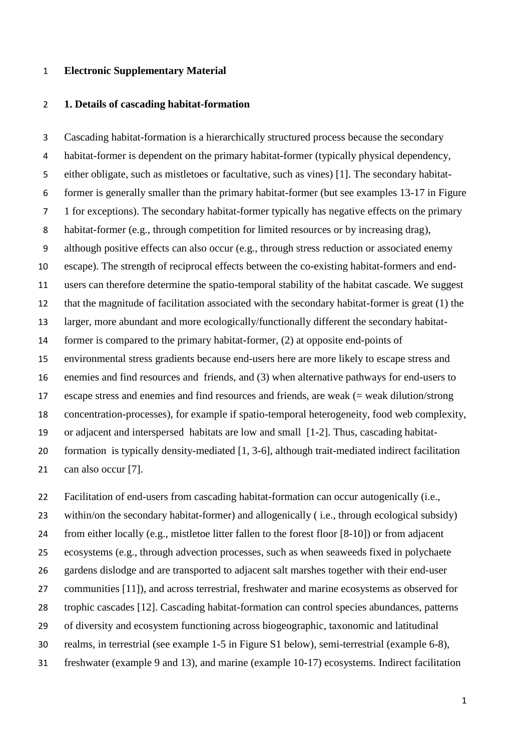## **Electronic Supplementary Material**

## **1. Details of cascading habitat-formation**

 Cascading habitat-formation is a hierarchically structured process because the secondary habitat-former is dependent on the primary habitat-former (typically physical dependency, either obligate, such as mistletoes or facultative, such as vines) [1]. The secondary habitat- former is generally smaller than the primary habitat-former (but see examples 13-17 in Figure 1 for exceptions). The secondary habitat-former typically has negative effects on the primary habitat-former (e.g., through competition for limited resources or by increasing drag), although positive effects can also occur (e.g., through stress reduction or associated enemy escape). The strength of reciprocal effects between the co-existing habitat-formers and end- users can therefore determine the spatio-temporal stability of the habitat cascade. We suggest that the magnitude of facilitation associated with the secondary habitat-former is great (1) the larger, more abundant and more ecologically/functionally different the secondary habitat- former is compared to the primary habitat-former, (2) at opposite end-points of environmental stress gradients because end-users here are more likely to escape stress and enemies and find resources and friends, and (3) when alternative pathways for end-users to escape stress and enemies and find resources and friends, are weak (= weak dilution/strong concentration-processes), for example if spatio-temporal heterogeneity, food web complexity, or adjacent and interspersed habitats are low and small [1-2]. Thus, cascading habitat- formation is typically density-mediated [1, 3-6], although trait-mediated indirect facilitation can also occur [7].

 Facilitation of end-users from cascading habitat-formation can occur autogenically (i.e., within/on the secondary habitat-former) and allogenically ( i.e., through ecological subsidy) from either locally (e.g., mistletoe litter fallen to the forest floor [8-10]) or from adjacent ecosystems (e.g., through advection processes, such as when seaweeds fixed in polychaete gardens dislodge and are transported to adjacent salt marshes together with their end-user communities [11]), and across terrestrial, freshwater and marine ecosystems as observed for trophic cascades [12]. Cascading habitat-formation can control species abundances, patterns of diversity and ecosystem functioning across biogeographic, taxonomic and latitudinal realms, in terrestrial (see example 1-5 in Figure S1 below), semi-terrestrial (example 6-8), freshwater (example 9 and 13), and marine (example 10-17) ecosystems. Indirect facilitation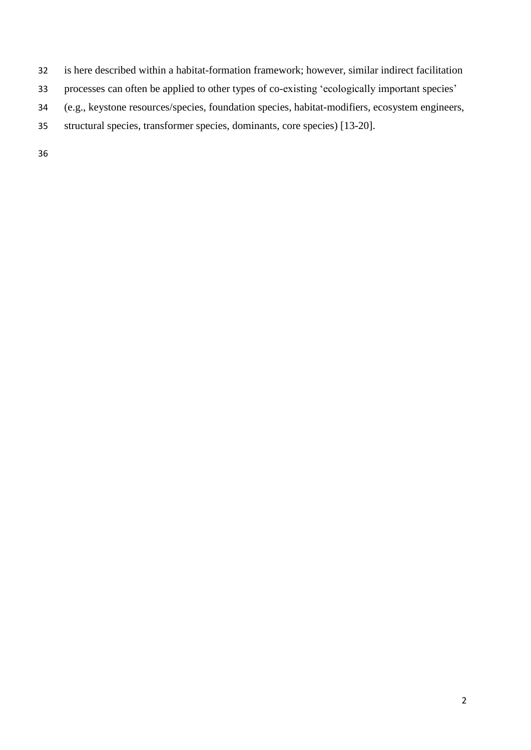- is here described within a habitat-formation framework; however, similar indirect facilitation
- processes can often be applied to other types of co-existing 'ecologically important species'
- (e.g., keystone resources/species, foundation species, habitat-modifiers, ecosystem engineers,
- structural species, transformer species, dominants, core species) [13-20].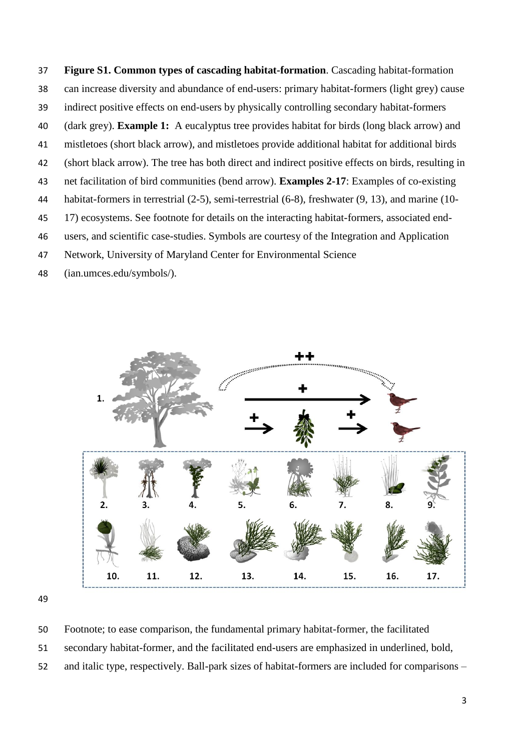**Figure S1. Common types of cascading habitat-formation**. Cascading habitat-formation can increase diversity and abundance of end-users: primary habitat-formers (light grey) cause indirect positive effects on end-users by physically controlling secondary habitat-formers (dark grey). **Example 1:** A eucalyptus tree provides habitat for birds (long black arrow) and mistletoes (short black arrow), and mistletoes provide additional habitat for additional birds (short black arrow). The tree has both direct and indirect positive effects on birds, resulting in net facilitation of bird communities (bend arrow). **Examples 2-17**: Examples of co-existing habitat-formers in terrestrial (2-5), semi-terrestrial (6-8), freshwater (9, 13), and marine (10- 17) ecosystems. See footnote for details on the interacting habitat-formers, associated end- users, and scientific case-studies. Symbols are courtesy of the Integration and Application Network, University of Maryland Center for Environmental Science

(ian.umces.edu/symbols/).



Footnote; to ease comparison, the fundamental primary habitat-former, the facilitated

- secondary habitat-former, and the facilitated end-users are emphasized in underlined, bold,
- and italic type, respectively. Ball-park sizes of habitat-formers are included for comparisons –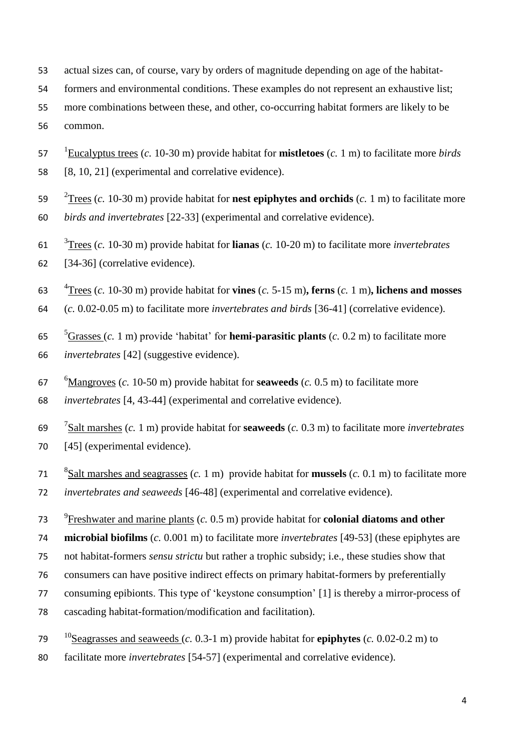- actual sizes can, of course, vary by orders of magnitude depending on age of the habitat-
- formers and environmental conditions. These examples do not represent an exhaustive list;
- more combinations between these, and other, co-occurring habitat formers are likely to be common.
- 1 Eucalyptus trees (*c.* 10-30 m) provide habitat for **mistletoes** (*c.* 1 m) to facilitate more *birds*
- [8, 10, 21] (experimental and correlative evidence).
- 2 Trees (*c.* 10-30 m) provide habitat for **nest epiphytes and orchids** (*c.* 1 m) to facilitate more *birds and invertebrates* [22-33] (experimental and correlative evidence).
- 3 Trees (*c.* 10-30 m) provide habitat for **lianas** (*c.* 10-20 m) to facilitate more *invertebrates* [34-36] (correlative evidence).
- 4 Trees (*c.* 10-30 m) provide habitat for **vines** (*c.* 5-15 m)**, ferns** (*c.* 1 m)**, lichens and mosses**
- (*c.* 0.02-0.05 m) to facilitate more *invertebrates and birds* [36-41] (correlative evidence).
- 5 Grasses (*c.* 1 m) provide 'habitat' for **hemi-parasitic plants** (*c.* 0.2 m) to facilitate more *invertebrates* [42] (suggestive evidence).
- 6 Mangroves (*c.* 10-50 m) provide habitat for **seaweeds** (*c.* 0.5 m) to facilitate more
- *invertebrates* [4, 43-44] (experimental and correlative evidence).
- 7 Salt marshes (*c.* 1 m) provide habitat for **seaweeds** (*c.* 0.3 m) to facilitate more *invertebrates* 70 [45] (experimental evidence).
- 8 Salt marshes and seagrasses (*c.* 1 m) provide habitat for **mussels** (*c.* 0.1 m) to facilitate more *invertebrates and seaweeds* [46-48] (experimental and correlative evidence).
- 9 Freshwater and marine plants (*c.* 0.5 m) provide habitat for **colonial diatoms and other**
- **microbial biofilms** (*c.* 0.001 m) to facilitate more *invertebrates* [49-53] (these epiphytes are
- not habitat-formers *sensu strictu* but rather a trophic subsidy; i.e., these studies show that
- consumers can have positive indirect effects on primary habitat-formers by preferentially
- consuming epibionts. This type of 'keystone consumption' [1] is thereby a mirror-process of
- cascading habitat-formation/modification and facilitation).
- <sup>10</sup> Seagrasses and seaweeds (*c.* 0.3-1 m) provide habitat for **epiphytes** (*c.* 0.02-0.2 m) to
- facilitate more *invertebrates* [54-57] (experimental and correlative evidence).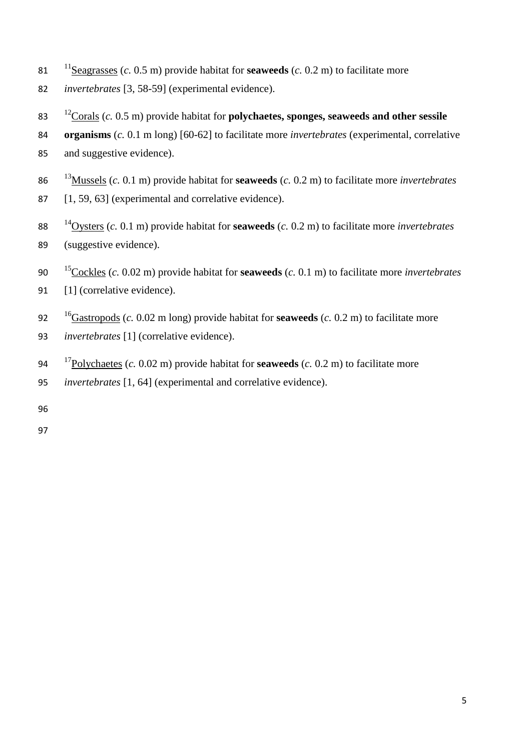- <sup>11</sup> Seagrasses (*c.* 0.5 m) provide habitat for **seaweeds** (*c.* 0.2 m) to facilitate more
- *invertebrates* [3, 58-59] (experimental evidence).
- <sup>12</sup> Corals (*c.* 0.5 m) provide habitat for **polychaetes, sponges, seaweeds and other sessile**
- **organisms** (*c.* 0.1 m long) [60-62] to facilitate more *invertebrates* (experimental, correlative
- and suggestive evidence).
- <sup>13</sup> Mussels (*c.* 0.1 m) provide habitat for **seaweeds** (*c.* 0.2 m) to facilitate more *invertebrates*
- 87 [1, 59, 63] (experimental and correlative evidence).
- <sup>14</sup> Oysters (*c.* 0.1 m) provide habitat for **seaweeds** (*c.* 0.2 m) to facilitate more *invertebrates* (suggestive evidence).
- <sup>15</sup> Cockles (*c.* 0.02 m) provide habitat for **seaweeds** (*c.* 0.1 m) to facilitate more *invertebrates* 91 [1] (correlative evidence).
- <sup>16</sup> Gastropods (*c.* 0.02 m long) provide habitat for **seaweeds** (*c.* 0.2 m) to facilitate more
- *invertebrates* [1] (correlative evidence).
- 94 <sup>17</sup> Polychaetes (*c.* 0.02 m) provide habitat for **seaweeds** (*c.* 0.2 m) to facilitate more
- *invertebrates* [1, 64] (experimental and correlative evidence).
- 
-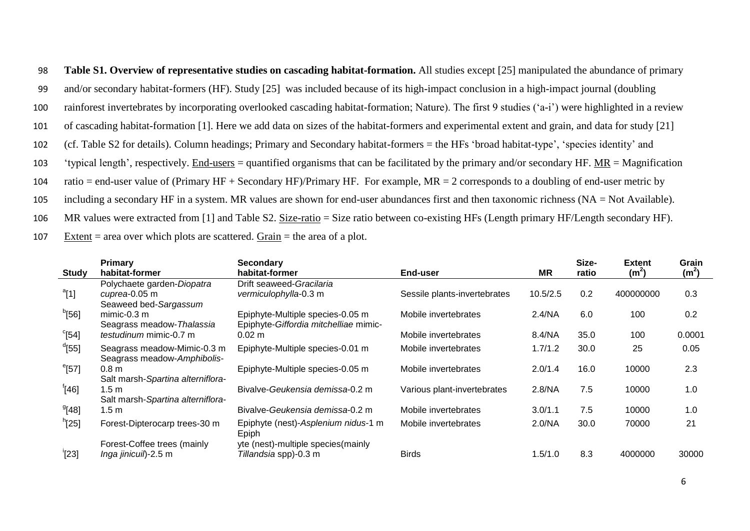**Table S1. Overview of representative studies on cascading habitat-formation.** All studies except [25] manipulated the abundance of primary and/or secondary habitat-formers (HF). Study [25] was included because of its high-impact conclusion in a high-impact journal (doubling rainforest invertebrates by incorporating overlooked cascading habitat-formation; Nature). The first 9 studies ('a-i') were highlighted in a review of cascading habitat-formation [1]. Here we add data on sizes of the habitat-formers and experimental extent and grain, and data for study [21] (cf. Table S2 for details). Column headings; Primary and Secondary habitat-formers = the HFs 'broad habitat-type', 'species identity' and 'typical length', respectively. End-users = quantified organisms that can be facilitated by the primary and/or secondary HF. MR = Magnification 104 ratio = end-user value of (Primary HF + Secondary HF)/Primary HF. For example,  $MR = 2$  corresponds to a doubling of end-user metric by including a secondary HF in a system. MR values are shown for end-user abundances first and then taxonomic richness (NA = Not Available). 106 MR values were extracted from [1] and Table S2. Size-ratio = Size ratio between co-existing HFs (Length primary HF/Length secondary HF). 107 Extent = area over which plots are scattered.  $Grain$  = the area of a plot.

| <b>Study</b>        | <b>Primary</b><br>habitat-former  | <b>Secondary</b><br>habitat-former    | End-user                     | <b>MR</b> | Size-<br>ratio | <b>Extent</b><br>(m <sup>2</sup> ) | Grain<br>(m <sup>2</sup> ) |
|---------------------|-----------------------------------|---------------------------------------|------------------------------|-----------|----------------|------------------------------------|----------------------------|
|                     | Polychaete garden-Diopatra        | Drift seaweed-Gracilaria              |                              |           |                |                                    |                            |
| $a$ [1]             | cuprea-0.05 m                     | vermiculophylla-0.3 m                 | Sessile plants-invertebrates | 10.5/2.5  | 0.2            | 400000000                          | 0.3                        |
|                     | Seaweed bed-Sargassum             |                                       |                              |           |                |                                    |                            |
| <sup>b</sup> [56]   | $minic-0.3 m$                     | Epiphyte-Multiple species-0.05 m      | Mobile invertebrates         | 2.4/NA    | 6.0            | 100                                | 0.2                        |
|                     | Seagrass meadow-Thalassia         | Epiphyte-Giffordia mitchelliae mimic- |                              |           |                |                                    |                            |
| $\mathrm{^{c}[54]}$ | <i>testudinum</i> mimic-0.7 m     | $0.02 \; m$                           | Mobile invertebrates         | 8.4/NA    | 35.0           | 100                                | 0.0001                     |
| <sup>d</sup> [55]   | Seagrass meadow-Mimic-0.3 m       | Epiphyte-Multiple species-0.01 m      | Mobile invertebrates         | 1.7/1.2   | 30.0           | 25                                 | 0.05                       |
|                     | Seagrass meadow-Amphibolis-       |                                       |                              |           |                |                                    |                            |
| $e$ [57]            | 0.8 <sub>m</sub>                  | Epiphyte-Multiple species-0.05 m      | Mobile invertebrates         | 2.0/1.4   | 16.0           | 10000                              | 2.3                        |
|                     | Salt marsh-Spartina alterniflora- |                                       |                              |           |                |                                    |                            |
| <sup>f</sup> [46]   | 1.5 m                             | Bivalve-Geukensia demissa-0.2 m       | Various plant-invertebrates  | 2.8/NA    | 7.5            | 10000                              | 1.0                        |
|                     | Salt marsh-Spartina alterniflora- |                                       |                              |           |                |                                    |                            |
| $^{9}$ [48]         | 1.5 <sub>m</sub>                  | Bivalve-Geukensia demissa-0.2 m       | Mobile invertebrates         | 3.0/1.1   | 7.5            | 10000                              | 1.0                        |
| <sup>h</sup> [25]   | Forest-Dipterocarp trees-30 m     | Epiphyte (nest)-Asplenium nidus-1 m   | Mobile invertebrates         | 2.0/NA    | 30.0           | 70000                              | 21                         |
|                     |                                   | Epiph                                 |                              |           |                |                                    |                            |
|                     | Forest-Coffee trees (mainly       | yte (nest)-multiple species(mainly    |                              |           |                |                                    |                            |
| $^{\prime}[23]$     | Inga jinicuil)-2.5 m              | Tillandsia spp)-0.3 m                 | <b>Birds</b>                 | 1.5/1.0   | 8.3            | 4000000                            | 30000                      |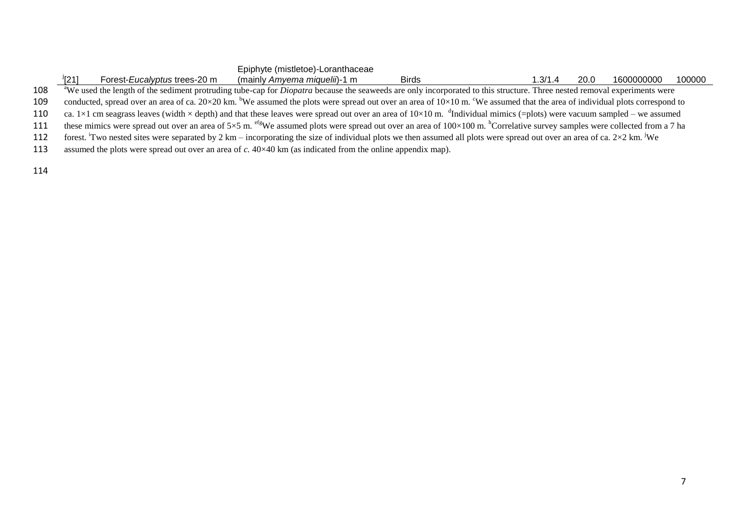|     | <sup>/</sup> [21]<br>Forest-Eucalyptus trees-20 m                                                                                                                                                                    | Epiphyte (mistletoe)-Loranthaceae<br>(mainly Amyema miquelii)-1 m | <b>Birds</b> | 1.3/1.4 | 20.0 | 1600000000 | 100000 |
|-----|----------------------------------------------------------------------------------------------------------------------------------------------------------------------------------------------------------------------|-------------------------------------------------------------------|--------------|---------|------|------------|--------|
| 108 | <sup>a</sup> We used the length of the sediment protruding tube-cap for <i>Diopatra</i> because the seaweeds are only incorporated to this structure. Three nested removal experiments were                          |                                                                   |              |         |      |            |        |
| 109 | conducted, spread over an area of ca. $20 \times 20$ km. <sup>b</sup> We assumed the plots were spread out over an area of $10 \times 10$ m. <sup>c</sup> We assumed that the area of individual plots correspond to |                                                                   |              |         |      |            |        |
| 110 | ca. 1×1 cm seagrass leaves (width × depth) and that these leaves were spread out over an area of 10×10 m. $\text{d}$ Individual mimics (=plots) were vacuum sampled – we assumed                                     |                                                                   |              |         |      |            |        |
| 111 | these mimics were spread out over an area of 5×5 m. <sup>efg</sup> We assumed plots were spread out over an area of 100×100 m. <sup>h</sup> Correlative survey samples were collected from a 7 ha                    |                                                                   |              |         |      |            |        |
| 112 | forest. Two nested sites were separated by 2 km – incorporating the size of individual plots we then assumed all plots were spread out over an area of ca. $2\times2$ km. We                                         |                                                                   |              |         |      |            |        |
| 113 | assumed the plots were spread out over an area of c. $40 \times 40$ km (as indicated from the online appendix map).                                                                                                  |                                                                   |              |         |      |            |        |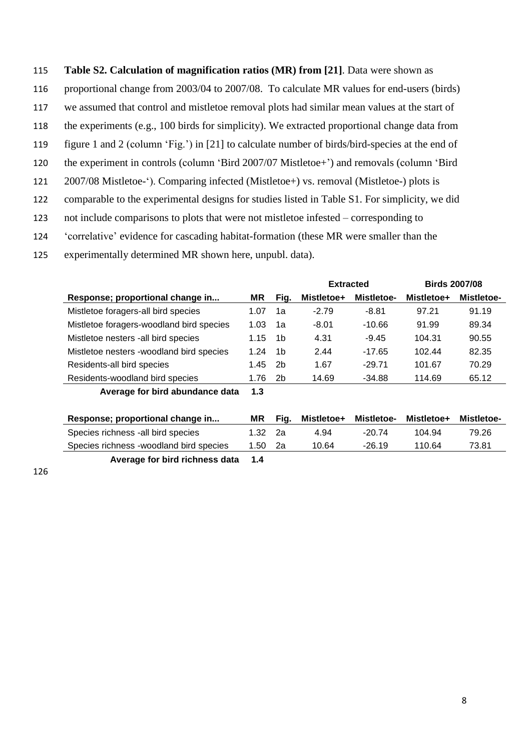## 115 **Table S2. Calculation of magnification ratios (MR) from [21]**. Data were shown as

- 116 proportional change from 2003/04 to 2007/08. To calculate MR values for end-users (birds)
- 117 we assumed that control and mistletoe removal plots had similar mean values at the start of
- 118 the experiments (e.g., 100 birds for simplicity). We extracted proportional change data from
- 119 figure 1 and 2 (column 'Fig.') in [21] to calculate number of birds/bird-species at the end of
- 120 the experiment in controls (column 'Bird 2007/07 Mistletoe+') and removals (column 'Bird
- 121 2007/08 Mistletoe-'). Comparing infected (Mistletoe+) vs. removal (Mistletoe-) plots is
- 122 comparable to the experimental designs for studies listed in Table S1. For simplicity, we did
- 123 not include comparisons to plots that were not mistletoe infested corresponding to
- 124 'correlative' evidence for cascading habitat-formation (these MR were smaller than the
- 125 experimentally determined MR shown here, unpubl. data).

|                                          |      |                | <b>Extracted</b> |                   | <b>Birds 2007/08</b> |                   |
|------------------------------------------|------|----------------|------------------|-------------------|----------------------|-------------------|
| Response; proportional change in         |      | Fig.           | Mistletoe+       | <b>Mistletoe-</b> | Mistletoe+           | <b>Mistletoe-</b> |
| Mistletoe foragers-all bird species      | 1.07 | 1a             | $-2.79$          | $-8.81$           | 97.21                | 91.19             |
| Mistletoe foragers-woodland bird species | 1.03 | 1a             | $-8.01$          | $-10.66$          | 91.99                | 89.34             |
| Mistletoe nesters -all bird species      | 1.15 | 1b             | 4.31             | $-9.45$           | 104.31               | 90.55             |
| Mistletoe nesters -woodland bird species | 1.24 | 1b             | 2.44             | $-17.65$          | 102.44               | 82.35             |
| Residents-all bird species               | 1.45 | 2b             | 1.67             | $-29.71$          | 101.67               | 70.29             |
| Residents-woodland bird species          | 1.76 | 2 <sub>b</sub> | 14.69            | $-34.88$          | 114.69               | 65.12             |
| Average for bird abundance data          | 1.3  |                |                  |                   |                      |                   |

| Response; proportional change in        |         | Fia. | Mistletoe+ | Mistletoe- | <b>Mistletoe+</b> | <b>Mistletoe-</b> |
|-----------------------------------------|---------|------|------------|------------|-------------------|-------------------|
| Species richness - all bird species     | 1.32 2a |      | 4.94       | $-20.74$   | 104.94            | 79.26             |
| Species richness -woodland bird species | 1.50 2a |      | 10.64      | $-26.19$   | 110.64            | 73.81             |
| Average for bird richness data          | $-1.4$  |      |            |            |                   |                   |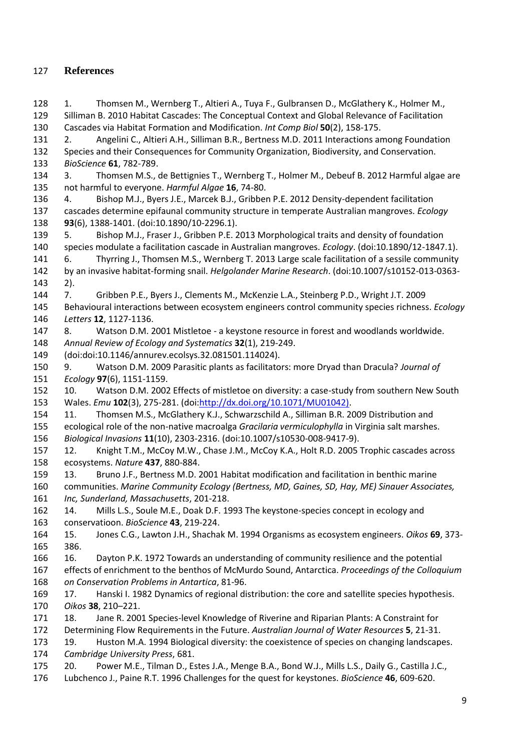## **References**

 1. Thomsen M., Wernberg T., Altieri A., Tuya F., Gulbransen D., McGlathery K., Holmer M., Silliman B. 2010 Habitat Cascades: The Conceptual Context and Global Relevance of Facilitation Cascades via Habitat Formation and Modification. *Int Comp Biol* **50**(2), 158-175. 2. Angelini C., Altieri A.H., Silliman B.R., Bertness M.D. 2011 Interactions among Foundation Species and their Consequences for Community Organization, Biodiversity, and Conservation. *BioScience* **61**, 782-789. 3. Thomsen M.S., de Bettignies T., Wernberg T., Holmer M., Debeuf B. 2012 Harmful algae are not harmful to everyone. *Harmful Algae* **16**, 74-80. 4. Bishop M.J., Byers J.E., Marcek B.J., Gribben P.E. 2012 Density-dependent facilitation cascades determine epifaunal community structure in temperate Australian mangroves. *Ecology* **93**(6), 1388-1401. (doi:10.1890/10-2296.1). 5. Bishop M.J., Fraser J., Gribben P.E. 2013 Morphological traits and density of foundation species modulate a facilitation cascade in Australian mangroves. *Ecology*. (doi:10.1890/12-1847.1). 6. Thyrring J., Thomsen M.S., Wernberg T. 2013 Large scale facilitation of a sessile community by an invasive habitat-forming snail. *Helgolander Marine Research*. (doi:10.1007/s10152-013-0363- 2). 7. Gribben P.E., Byers J., Clements M., McKenzie L.A., Steinberg P.D., Wright J.T. 2009 Behavioural interactions between ecosystem engineers control community species richness. *Ecology Letters* **12**, 1127-1136. 8. Watson D.M. 2001 Mistletoe - a keystone resource in forest and woodlands worldwide. *Annual Review of Ecology and Systematics* **32**(1), 219-249. (doi:doi:10.1146/annurev.ecolsys.32.081501.114024). 9. Watson D.M. 2009 Parasitic plants as facilitators: more Dryad than Dracula? *Journal of Ecology* **97**(6), 1151-1159. 10. Watson D.M. 2002 Effects of mistletoe on diversity: a case-study from southern New South Wales. *Emu* **102**(3), 275-281. (doi[:http://dx.doi.org/10.1071/MU01042\).](http://dx.doi.org/10.1071/MU01042)) 11. Thomsen M.S., McGlathery K.J., Schwarzschild A., Silliman B.R. 2009 Distribution and ecological role of the non-native macroalga *Gracilaria vermiculophylla* in Virginia salt marshes. *Biological Invasions* **11**(10), 2303-2316. (doi:10.1007/s10530-008-9417-9). 12. Knight T.M., McCoy M.W., Chase J.M., McCoy K.A., Holt R.D. 2005 Trophic cascades across ecosystems. *Nature* **437**, 880-884. 13. Bruno J.F., Bertness M.D. 2001 Habitat modification and facilitation in benthic marine communities. *Marine Community Ecology (Bertness, MD, Gaines, SD, Hay, ME) Sinauer Associates, Inc, Sunderland, Massachusetts*, 201-218. 14. Mills L.S., Soule M.E., Doak D.F. 1993 The keystone-species concept in ecology and conservatioon. *BioScience* **43**, 219-224. 15. Jones C.G., Lawton J.H., Shachak M. 1994 Organisms as ecosystem engineers. *Oikos* **69**, 373- 386. 16. Dayton P.K. 1972 Towards an understanding of community resilience and the potential effects of enrichment to the benthos of McMurdo Sound, Antarctica. *Proceedings of the Colloquium on Conservation Problems in Antartica*, 81-96. 17. Hanski I. 1982 Dynamics of regional distribution: the core and satellite species hypothesis. *Oikos* **38**, 210–221. 18. Jane R. 2001 Species-level Knowledge of Riverine and Riparian Plants: A Constraint for Determining Flow Requirements in the Future. *Australian Journal of Water Resources* **5**, 21-31. 19. Huston M.A. 1994 Biological diversity: the coexistence of species on changing landscapes. *Cambridge University Press*, 681. 20. Power M.E., Tilman D., Estes J.A., Menge B.A., Bond W.J., Mills L.S., Daily G., Castilla J.C., Lubchenco J., Paine R.T. 1996 Challenges for the quest for keystones. *BioScience* **46**, 609-620.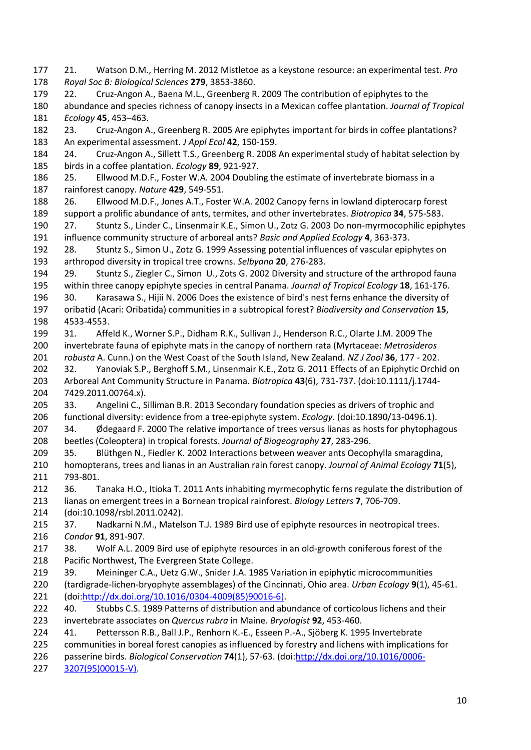- 21. Watson D.M., Herring M. 2012 Mistletoe as a keystone resource: an experimental test. *Pro Royal Soc B: Biological Sciences* **279**, 3853-3860.
- 22. Cruz-Angon A., Baena M.L., Greenberg R. 2009 The contribution of epiphytes to the abundance and species richness of canopy insects in a Mexican coffee plantation. *Journal of Tropical Ecology* **45**, 453–463.
- 23. Cruz-Angon A., Greenberg R. 2005 Are epiphytes important for birds in coffee plantations? An experimental assessment. *J Appl Ecol* **42**, 150-159.
- 24. Cruz-Angon A., Sillett T.S., Greenberg R. 2008 An experimental study of habitat selection by birds in a coffee plantation. *Ecology* **89**, 921-927.
- 25. Ellwood M.D.F., Foster W.A. 2004 Doubling the estimate of invertebrate biomass in a rainforest canopy. *Nature* **429**, 549-551.
- 26. Ellwood M.D.F., Jones A.T., Foster W.A. 2002 Canopy ferns in lowland dipterocarp forest support a prolific abundance of ants, termites, and other invertebrates. *Biotropica* **34**, 575-583.
- 27. Stuntz S., Linder C., Linsenmair K.E., Simon U., Zotz G. 2003 Do non-myrmocophilic epiphytes influence community structure of arboreal ants? *Basic and Applied Ecology* **4**, 363-373.
- 28. Stuntz S., Simon U., Zotz G. 1999 Assessing potential influences of vascular epiphytes on arthropod diversity in tropical tree crowns. *Selbyana* **20**, 276-283.
- 29. Stuntz S., Ziegler C., Simon U., Zots G. 2002 Diversity and structure of the arthropod fauna within three canopy epiphyte species in central Panama. *Journal of Tropical Ecology* **18**, 161-176.
- 30. Karasawa S., Hijii N. 2006 Does the existence of bird's nest ferns enhance the diversity of oribatid (Acari: Oribatida) communities in a subtropical forest? *Biodiversity and Conservation* **15**, 4533-4553.
- 31. Affeld K., Worner S.P., Didham R.K., Sullivan J., Henderson R.C., Olarte J.M. 2009 The invertebrate fauna of epiphyte mats in the canopy of northern rata (Myrtaceae: *Metrosideros robusta* A. Cunn.) on the West Coast of the South Island, New Zealand. *NZ J Zool* **36**, 177 - 202.
- 32. Yanoviak S.P., Berghoff S.M., Linsenmair K.E., Zotz G. 2011 Effects of an Epiphytic Orchid on Arboreal Ant Community Structure in Panama. *Biotropica* **43**(6), 731-737. (doi:10.1111/j.1744- 7429.2011.00764.x).
- 33. Angelini C., Silliman B.R. 2013 Secondary foundation species as drivers of trophic and functional diversity: evidence from a tree-epiphyte system. *Ecology*. (doi:10.1890/13-0496.1).
- 207 34. Ødegaard F. 2000 The relative importance of trees versus lianas as hosts for phytophagous beetles (Coleoptera) in tropical forests. *Journal of Biogeography* **27**, 283-296.
- 35. Blüthgen N., Fiedler K. 2002 Interactions between weaver ants Oecophylla smaragdina, homopterans, trees and lianas in an Australian rain forest canopy. *Journal of Animal Ecology* **71**(5),
- 793-801.
- 36. Tanaka H.O., Itioka T. 2011 Ants inhabiting myrmecophytic ferns regulate the distribution of lianas on emergent trees in a Bornean tropical rainforest. *Biology Letters* **7**, 706-709.
- (doi:10.1098/rsbl.2011.0242).
- 37. Nadkarni N.M., Matelson T.J. 1989 Bird use of epiphyte resources in neotropical trees. *Condor* **91**, 891-907.
- 217 38. Wolf A.L. 2009 Bird use of epiphyte resources in an old-growth coniferous forest of the Pacific Northwest, The Evergreen State College.
- 39. Meininger C.A., Uetz G.W., Snider J.A. 1985 Variation in epiphytic microcommunities (tardigrade-lichen-bryophyte assemblages) of the Cincinnati, Ohio area. *Urban Ecology* **9**(1), 45-61. (doi[:http://dx.doi.org/10.1016/0304-4009\(85\)90016-6\).](http://dx.doi.org/10.1016/0304-4009(85)90016-6))
- 40. Stubbs C.S. 1989 Patterns of distribution and abundance of corticolous lichens and their invertebrate associates on *Quercus rubra* in Maine. *Bryologist* **92**, 453-460.
- 41. Pettersson R.B., Ball J.P., Renhorn K.-E., Esseen P.-A., Sjöberg K. 1995 Invertebrate
- communities in boreal forest canopies as influenced by forestry and lichens with implications for
- passerine birds. *Biological Conservation* **74**(1), 57-63. (doi[:http://dx.doi.org/10.1016/0006-](http://dx.doi.org/10.1016/0006-3207(95)00015-V))
- [3207\(95\)00015-V\).](http://dx.doi.org/10.1016/0006-3207(95)00015-V))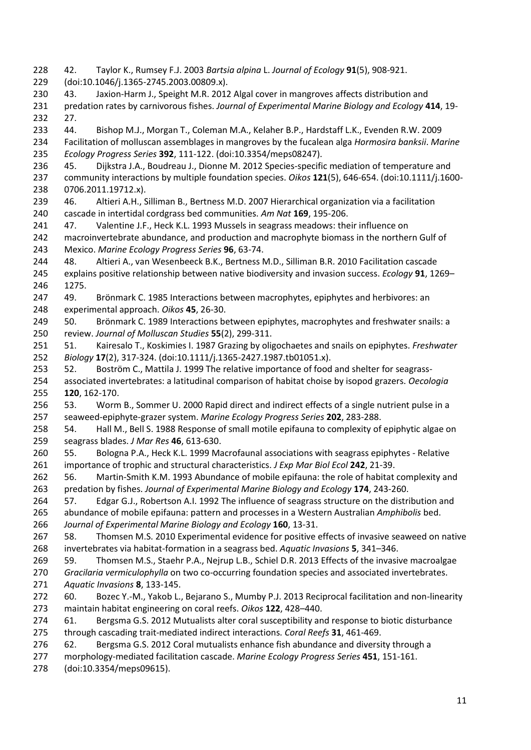42. Taylor K., Rumsey F.J. 2003 *Bartsia alpina* L. *Journal of Ecology* **91**(5), 908-921. (doi:10.1046/j.1365-2745.2003.00809.x). 43. Jaxion-Harm J., Speight M.R. 2012 Algal cover in mangroves affects distribution and predation rates by carnivorous fishes. *Journal of Experimental Marine Biology and Ecology* **414**, 19- 27. 44. Bishop M.J., Morgan T., Coleman M.A., Kelaher B.P., Hardstaff L.K., Evenden R.W. 2009 Facilitation of molluscan assemblages in mangroves by the fucalean alga *Hormosira banksii*. *Marine Ecology Progress Series* **392**, 111-122. (doi:10.3354/meps08247). 45. Dijkstra J.A., Boudreau J., Dionne M. 2012 Species-specific mediation of temperature and community interactions by multiple foundation species. *Oikos* **121**(5), 646-654. (doi:10.1111/j.1600- 0706.2011.19712.x). 46. Altieri A.H., Silliman B., Bertness M.D. 2007 Hierarchical organization via a facilitation cascade in intertidal cordgrass bed communities. *Am Nat* **169**, 195-206. 47. Valentine J.F., Heck K.L. 1993 Mussels in seagrass meadows: their influence on 242 macroinvertebrate abundance, and production and macrophyte biomass in the northern Gulf of Mexico. *Marine Ecology Progress Series* **96**, 63-74. 48. Altieri A., van Wesenbeeck B.K., Bertness M.D., Silliman B.R. 2010 Facilitation cascade explains positive relationship between native biodiversity and invasion success. *Ecology* **91**, 1269– 1275. 49. Brönmark C. 1985 Interactions between macrophytes, epiphytes and herbivores: an experimental approach. *Oikos* **45**, 26-30. 249 50. Brönmark C. 1989 Interactions between epiphytes, macrophytes and freshwater snails: a review. *Journal of Molluscan Studies* **55**(2), 299-311. 51. Kairesalo T., Koskimies I. 1987 Grazing by oligochaetes and snails on epiphytes. *Freshwater Biology* **17**(2), 317-324. (doi:10.1111/j.1365-2427.1987.tb01051.x). 52. Boström C., Mattila J. 1999 The relative importance of food and shelter for seagrass- associated invertebrates: a latitudinal comparison of habitat choise by isopod grazers. *Oecologia* **120**, 162-170. 53. Worm B., Sommer U. 2000 Rapid direct and indirect effects of a single nutrient pulse in a seaweed-epiphyte-grazer system. *Marine Ecology Progress Series* **202**, 283-288. 54. Hall M., Bell S. 1988 Response of small motile epifauna to complexity of epiphytic algae on seagrass blades. *J Mar Res* **46**, 613-630. 55. Bologna P.A., Heck K.L. 1999 Macrofaunal associations with seagrass epiphytes - Relative importance of trophic and structural characteristics. *J Exp Mar Biol Ecol* **242**, 21-39. 56. Martin-Smith K.M. 1993 Abundance of mobile epifauna: the role of habitat complexity and predation by fishes. *Journal of Experimental Marine Biology and Ecology* **174**, 243-260. 57. Edgar G.J., Robertson A.I. 1992 The influence of seagrass structure on the distribution and abundance of mobile epifauna: pattern and processes in a Western Australian *Amphibolis* bed. *Journal of Experimental Marine Biology and Ecology* **160**, 13-31. 58. Thomsen M.S. 2010 Experimental evidence for positive effects of invasive seaweed on native invertebrates via habitat-formation in a seagrass bed. *Aquatic Invasions* **5**, 341–346. 59. Thomsen M.S., Staehr P.A., Nejrup L.B., Schiel D.R. 2013 Effects of the invasive macroalgae *Gracilaria vermiculophylla* on two co-occurring foundation species and associated invertebrates. *Aquatic Invasions* **8**, 133-145. 60. Bozec Y.-M., Yakob L., Bejarano S., Mumby P.J. 2013 Reciprocal facilitation and non-linearity maintain habitat engineering on coral reefs. *Oikos* **122**, 428–440. 61. Bergsma G.S. 2012 Mutualists alter coral susceptibility and response to biotic disturbance through cascading trait-mediated indirect interactions. *Coral Reefs* **31**, 461-469. 62. Bergsma G.S. 2012 Coral mutualists enhance fish abundance and diversity through a morphology-mediated facilitation cascade. *Marine Ecology Progress Series* **451**, 151-161. (doi:10.3354/meps09615).